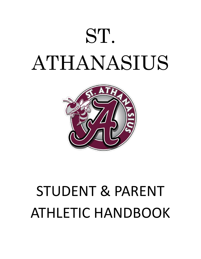



# STUDENT & PARENT ATHLETIC HANDBOOK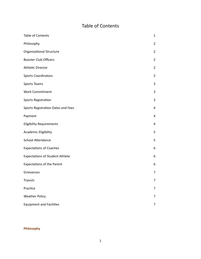# Table of Contents

| Table of Contents                      | 1              |
|----------------------------------------|----------------|
| Philosophy                             | $\overline{2}$ |
| <b>Organizational Structure</b>        | $\overline{2}$ |
| <b>Booster Club Officers</b>           | $\overline{2}$ |
| Athletic Director                      | $\overline{2}$ |
| <b>Sports Coordinators</b>             | $\overline{2}$ |
| Sports Teams                           | 3              |
| <b>Work Commitment</b>                 | 3              |
| Sports Registration                    | 3              |
| Sports Registration Dates and Fees     | 4              |
| Payment                                | 4              |
| <b>Eligibility Requirements</b>        | 4              |
| Academic Eligibility                   | 5              |
| School Attendance                      | 5              |
| <b>Expectations of Coaches</b>         | 6              |
| <b>Expectations of Student Athlete</b> | 6              |
| <b>Expectations of the Parent</b>      | 6              |
| Grievances                             | 7              |
| Tryouts                                | 7              |
| Practice                               | $\overline{7}$ |
| <b>Weather Policy</b>                  | $\overline{7}$ |
| <b>Equipment and Facilities</b>        | $\overline{7}$ |

# **Philosophy**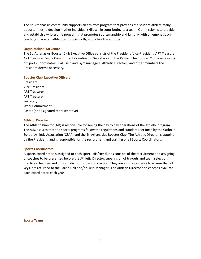The St. Athanasius community supports an athletics program that provides the student athlete many opportunities to develop his/her individual skills while contributing to a team. Our mission is to provide and establish a wholesome program that promotes sportsmanship and fair play with an emphasis on teaching character, athletic and social skills, and a healthy attitude.

#### **Organizational Structure**

The St. Athanasius Booster Club Executive Office consists of the President, Vice-President, ART Treasurer, APT Treasurer, Work Commitment Coordinator, Secretary and the Pastor. The Booster Club also consists of Sports Coordinators, Ball Field and Gym managers, Athletic Directors, and other members the President deems necessary.

#### **Booster Club Executive Officers**

President Vice President ART Treasurer APT Treasurer **Secretary** Work Commitment Pastor (or designated representative)

#### **Athletic Director**

The Athletic Director (AD) is responsible for seeing the day to day operations of the athletic program. The A.D. assures that the sports programs follow the regulations and standards set forth by the Catholic School Athletic Association (CSAA) and the St. Athanasius Booster Club. The Athletic Director is appoint by the President, and is responsible for the recruitment and training of all Sports Coordinators.

#### **Sports Coordinators**

A sports coordinator is assigned to each sport. His/Her duties consists of the recruitment and assigning of coaches to be presented before the Athletic Director, supervision of try-outs and team selection, practice schedules and uniform distribution and collection. They are also responsible to ensure that all keys, are returned to the Parish Hall and/or Field Manager. The Athletic Director and coaches evaluate each coordinator, each year.

**Sports Teams**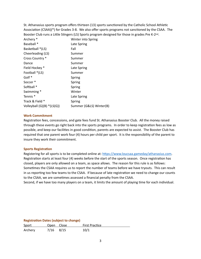St. Athanasius sports program offers thirteen (13) sports sanctioned by the Catholic School Athletic Association (CSAA)(\*) for Grades 3-8. We also offer sports programs not sanctioned by the CSAA. The Booster Club runs a Little Stingers (LS) Sports program designed for those in grades Pre K-2nd.

| Archery *                  | Winter into Spring      |
|----------------------------|-------------------------|
| Baseball <sup>*</sup>      | Late Spring             |
| Basketball *(LS)           | Fall                    |
| Cheerleading (LS)          | Summer                  |
| Cross Country *            | Summer                  |
| Dance                      | Summer                  |
| Field Hockey *             | Late Spring             |
| Football *(LS)             | Summer                  |
| Golf *                     | Spring                  |
| Soccer <sup>*</sup>        | Spring                  |
| Softball *                 | Spring                  |
| Swimming *                 | Winter                  |
| Tennis <sup>*</sup>        | Late Spring             |
| Track & Field *            | Spring                  |
| Volleyball (G)(B) *(LS(G)) | Summer (G&LS) Winter(B) |

#### **Work Commitment**

Registration fees, concessions, and gate fees fund St. Athanasius Booster Club. All the money raised through these events go right back into the sports programs. In order to keep registration fees as low as possible, and keep our facilities in good condition, parents are expected to assist. The Booster Club has required that one parent work four (4) hours per child per sport. It is the responsibility of the parent to insure they work their commitment.

#### **Sports Registration**

Registering for all sports is to be completed online at: <https://www.loucsaa.gameday/athanasius.com>. Registration starts at least four (4) weeks before the start of the sports season. Once registration has closed, players are only allowed on a team, as space allows. The reason for this rule is as follows: Sometimes the CSAA requires us to report the number of teams before we have tryouts. This can result in us reporting too few teams to the CSAA. If because of late registration we need to change our counts to the CSAA, we are sometimes assessed a financial penalty from the CSAA.

Second, if we have too many players on a team, it limits the amount of playing time for each individual.

| <b>Registration Dates (subject to change)</b> |             |  |                       |  |  |  |
|-----------------------------------------------|-------------|--|-----------------------|--|--|--|
| Sport                                         | Open Close  |  | <b>First Practice</b> |  |  |  |
| Archery                                       | $7/16$ 8/15 |  | 10/1                  |  |  |  |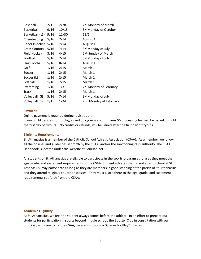| <b>Baseball</b>       | 2/1  | 2/28  | 2 <sup>nd</sup> Monday of March    |
|-----------------------|------|-------|------------------------------------|
| Basketball            | 9/16 | 10/15 | 3rd Monday of October              |
| Basketball (LS)       | 9/16 | 11/30 | 12/1                               |
| Cheerleading          | 5/16 | 7/14  | August 1                           |
| Cheer (sideline) 5/16 |      | 7/14  | August 1                           |
| <b>Cross Country</b>  | 5/16 | 7/14  | 3rd Monday of July                 |
| Field Hockey          | 3/16 | 4/15  | 2 <sup>ND</sup> Sunday of March    |
| Football              | 5/16 | 7/14  | 3rd Monday of July                 |
| <b>Flag Football</b>  | 5/16 | 8/14  | August 15                          |
| Golf                  | 1/16 | 2/15  | March 1                            |
| Soccer                | 1/16 | 2/15  | March 1                            |
| Soccer (LS)           | 1/16 | 2/15  | March 1                            |
| Softball              | 1/16 | 2/15  | March 1                            |
| Swimming              | 1/16 | 1/31  | 2 <sup>nd</sup> Monday of February |
| <b>Track</b>          | 1/16 | 2/15  | March 1                            |
| Volleyball (G)        | 5/16 | 7/14  | 3rd Monday of July                 |
| Volleyball (B)        | 1/1  | 1/24  | 2nd Monday of February             |

#### **Payment**

Online payment is required during registration.

If your child decides not to play, a credit to your account, minus \$5 processing fee, will be issued up until the first day of tryouts. No credits or refunds, will be issued after the first day of tryouts.

#### **Eligibility Requirements**

St. Athanasius is a member of the Catholic School Athletic Association (CSAA). As a member, we follow all the policies and guidelines set forth by the CSAA, and/or the sanctioning club authority. The CSAA Handbook is located under the website at: loucsaa.net

All students of St. Athanasius are eligible to participate in the sports program as long as they meet the age, grade, and sacrament requirements of the CSAA. Student athletes that do not attend school at St. Athanasius, may participate as long as they are members in good standing of the parish of St. Athanasius and they attend religious education classes. They must also adhere to the age, grade, and sacrament requirements set forth from the CSAA.

#### **Academic Eligibility**

At St. Athanasius, we feel the student always comes before the athlete. In an effort to prepare our students for participation in sports beyond middle school, the Booster Club in consultation with our principal, and director of the CSAA, we are instituting a "Grades for Play" program.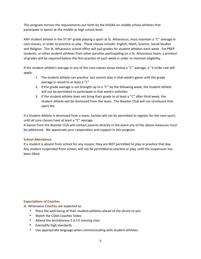This program mirrors the requirements put forth by the KHSAA on middle school athletes that participate in sports at the middle or high school level.

ANY student athlete in the 5<sup>th</sup>-8<sup>th</sup> grade playing a sport at St. Athanasius, must maintain a "C" average in core classes, in order to practice or play. These classes include: English, Math, Science, Social Studies and Religion. The St. Athanasius school office will pull grades for student athletes each week. For PREP students, or other student athletes from other parishes participating on a St. Athanasius team, a printout of grades will be required before the first practice of each week in order to maintain eligibility.

If the student athlete's average in any of the core classes drops below a "C" average, a "3 strike rule will apply:

- 1. The student athlete can practice but cannot play in that week's game until the grade average is raised to at least a "C"
- 2. If the grade average is not brought up to a " $C$ " by the following week, the student athlete will not be permitted to participate in that week's activities.
- 3. If the student athlete does not bring their grade to at least a " $C$ " after third week, the student athlete will be dismissed from the team. The Booster Club will not reimburse that sport fee.

If a Student Athlete is dismissed from a team, he/she will not be permitted to register for the next sport, until all core classes have at least a "C" average.

A liaison from the Booster Club will contact parents directly in the event any of the above measures must be addressed. We appreciate your cooperation and support in this program.

## **School Attendance**

If a student is absent from school for any reason, they are NOT permitted to play or practice that day. Any student suspended from school, will not be permitted to practice or play, until the suspension has been lifted.

## **Expectations of Coaches**

St. Athanasius Coaches are expected to:

- Place the well-being of their student-athletes ahead of the desire to win.
- Watch the CSAA Coaches Video
- Attend the Archdiocese S.A.F.E training class
- Exemplify high standards
- Use appropriate language when communicating with student-athletes.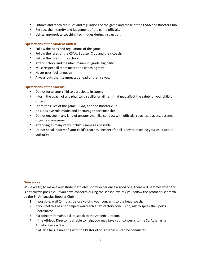- Enforce and teach the rules and regulations of the game and those of the CSAA and Booster Club
- Respect the integrity and judgement of the game officials.
- Utilize appropriate coaching techniques during instruction.

#### **Expectations of the Student Athlete**

- Follow the rules and regulations of the game
- Follow the rules of the CSAA, Booster Club and their coach.
- Follow the rules of the school.
- Attend school and maintain minimum grade eligibility
- Must respect all team mates and coaching staff
- Never uses foul language
- Always puts their teammates ahead of themselves.

#### **Expectations of the Parents**

- Do not force your child to participate in sports
- Inform the coach of any physical disability or ailment that may affect the safety of your child or others.
- Learn the rules of the game, CSAA, and the Booster club
- Be a positive role model and encourage sportsmanship.
- Do not engage in any kind of unsportsmanlike conduct with officials, coaches, players, parents, or game management.
- Attending as many of your child's games as possible.
- Do not speak poorly of your child's coaches. Respect for all is key to teaching your child about authority.

#### **Grievances**

While we try to make every student athletes sports experience a good one, there will be times when this is not always possible. If you have concerns during the season, we ask you follow the protocols set forth by the St. Athanasius Booster Club

- 1. If possible, wait 24 hours before voicing your concerns to the head coach.
- 2. If you feel this has not helped you reach a satisfactory conclusion, ask to speak the Sports Coordinator.
- 3. If a concern remains, ask to speak to the Athletic Director.
- 4. If the Athletic Director is unable to help, you may take your concerns to the St. Athanasius Athletic Review Board.
- 5. If all else fails, a meeting with the Pastor of St. Athanasius can be conducted.